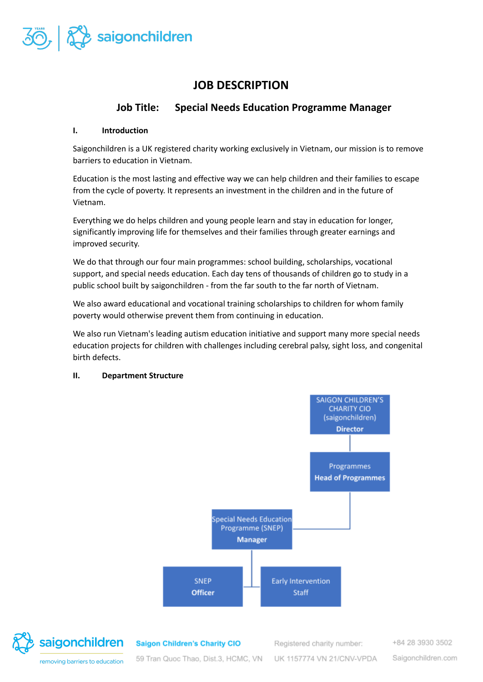

# **JOB DESCRIPTION**

# **Job Title: Special Needs Education Programme Manager**

# **I. Introduction**

Saigonchildren is a UK registered charity working exclusively in Vietnam, our mission is to remove barriers to education in Vietnam.

Education is the most lasting and effective way we can help children and their families to escape from the cycle of poverty. It represents an investment in the children and in the future of Vietnam.

Everything we do helps children and young people learn and stay in education for longer, significantly improving life for themselves and their families through greater earnings and improved security.

We do that through our four main programmes: school building, scholarships, vocational support, and special needs education. Each day tens of thousands of children go to study in a public school built by saigonchildren - from the far south to the far north of Vietnam.

We also award educational and vocational training scholarships to children for whom family poverty would otherwise prevent them from continuing in education.

We also run Vietnam's leading autism education initiative and support many more special needs education projects for children with challenges including cerebral palsy, sight loss, and congenital birth defects.

#### **II. Department Structure**





**Saigon Children's Charity CIO** 

Registered charity number:

UK 1157774 VN 21/CNV-VPDA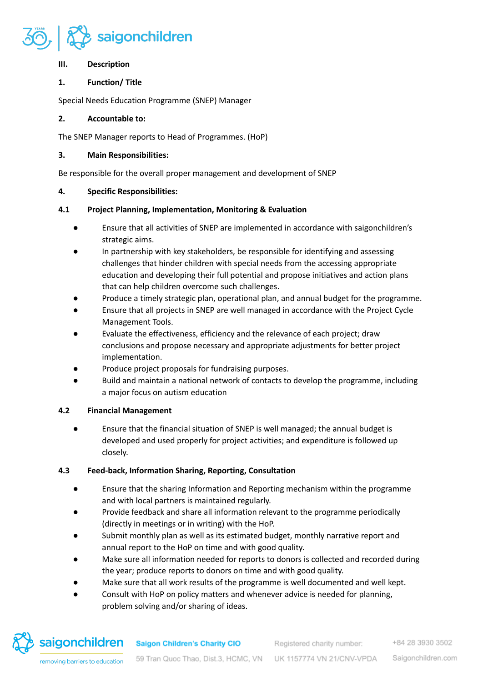

#### **III. Description**

# **1. Function/ Title**

Special Needs Education Programme (SNEP) Manager

# **2. Accountable to:**

The SNEP Manager reports to Head of Programmes. (HoP)

# **3. Main Responsibilities:**

Be responsible for the overall proper management and development of SNEP

# **4. Specific Responsibilities:**

# **4.1 Project Planning, Implementation, Monitoring & Evaluation**

- Ensure that all activities of SNEP are implemented in accordance with saigonchildren's strategic aims.
- In partnership with key stakeholders, be responsible for identifying and assessing challenges that hinder children with special needs from the accessing appropriate education and developing their full potential and propose initiatives and action plans that can help children overcome such challenges.
- Produce a timely strategic plan, operational plan, and annual budget for the programme.
- Ensure that all projects in SNEP are well managed in accordance with the Project Cycle Management Tools.
- Evaluate the effectiveness, efficiency and the relevance of each project; draw conclusions and propose necessary and appropriate adjustments for better project implementation.
- Produce project proposals for fundraising purposes.
- Build and maintain a national network of contacts to develop the programme, including a major focus on autism education

# **4.2 Financial Management**

● Ensure that the financial situation of SNEP is well managed; the annual budget is developed and used properly for project activities; and expenditure is followed up closely.

# **4.3 Feed-back, Information Sharing, Reporting, Consultation**

- Ensure that the sharing Information and Reporting mechanism within the programme and with local partners is maintained regularly.
- Provide feedback and share all information relevant to the programme periodically (directly in meetings or in writing) with the HoP.
- Submit monthly plan as well as its estimated budget, monthly narrative report and annual report to the HoP on time and with good quality.
- Make sure all information needed for reports to donors is collected and recorded during the year; produce reports to donors on time and with good quality.
- Make sure that all work results of the programme is well documented and well kept.
- Consult with HoP on policy matters and whenever advice is needed for planning, problem solving and/or sharing of ideas.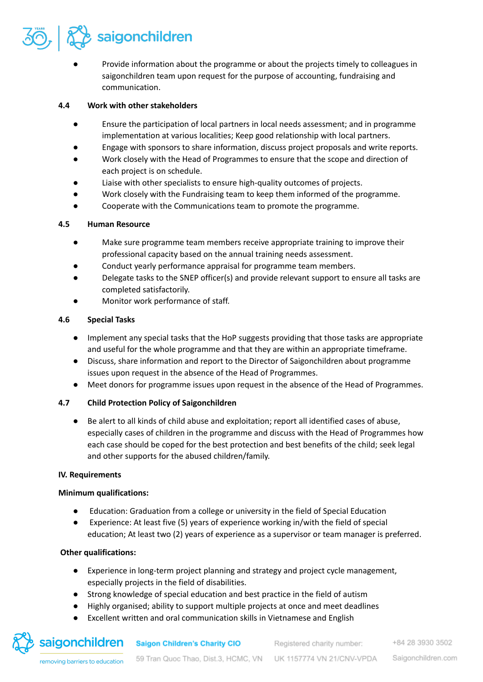

Provide information about the programme or about the projects timely to colleagues in saigonchildren team upon request for the purpose of accounting, fundraising and communication.

#### **4.4 Work with other stakeholders**

- Ensure the participation of local partners in local needs assessment; and in programme implementation at various localities; Keep good relationship with local partners.
- Engage with sponsors to share information, discuss project proposals and write reports.
- Work closely with the Head of Programmes to ensure that the scope and direction of each project is on schedule.
- Liaise with other specialists to ensure high-quality outcomes of projects.
- Work closely with the Fundraising team to keep them informed of the programme.
- Cooperate with the Communications team to promote the programme.

#### **4.5 Human Resource**

- Make sure programme team members receive appropriate training to improve their professional capacity based on the annual training needs assessment.
- Conduct yearly performance appraisal for programme team members.
- Delegate tasks to the SNEP officer(s) and provide relevant support to ensure all tasks are completed satisfactorily.
- Monitor work performance of staff.

#### **4.6 Special Tasks**

- Implement any special tasks that the HoP suggests providing that those tasks are appropriate and useful for the whole programme and that they are within an appropriate timeframe.
- Discuss, share information and report to the Director of Saigonchildren about programme issues upon request in the absence of the Head of Programmes.
- Meet donors for programme issues upon request in the absence of the Head of Programmes.

# **4.7 Child Protection Policy of Saigonchildren**

● Be alert to all kinds of child abuse and exploitation; report all identified cases of abuse, especially cases of children in the programme and discuss with the Head of Programmes how each case should be coped for the best protection and best benefits of the child; seek legal and other supports for the abused children/family.

# **IV. Requirements**

# **Minimum qualifications:**

- Education: Graduation from a college or university in the field of Special Education
- Experience: At least five (5) years of experience working in/with the field of special education; At least two (2) years of experience as a supervisor or team manager is preferred.

# **Other qualifications:**

- Experience in long-term project planning and strategy and project cycle management, especially projects in the field of disabilities.
- Strong knowledge of special education and best practice in the field of autism
- Highly organised; ability to support multiple projects at once and meet deadlines
- Excellent written and oral communication skills in Vietnamese and English